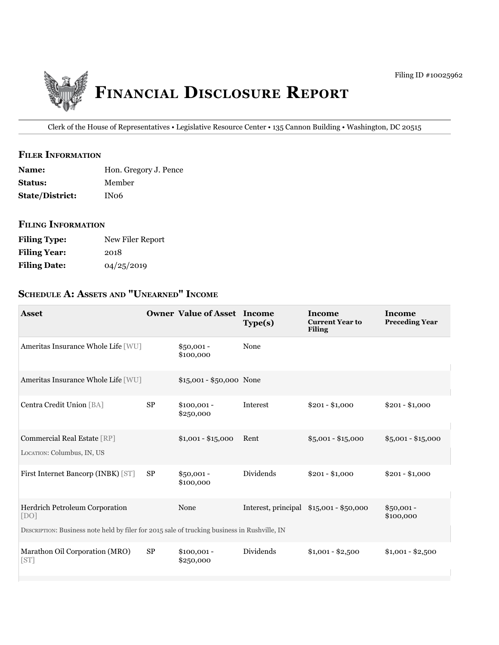

Clerk of the House of Representatives • Legislative Resource Center • 135 Cannon Building • Washington, DC 20515

## **filer information**

| <b>Name:</b>           | Hon. Gregory J. Pence |
|------------------------|-----------------------|
| <b>Status:</b>         | Member                |
| <b>State/District:</b> | IN06                  |

### **filing information**

| <b>Filing Type:</b> | New Filer Report |
|---------------------|------------------|
| <b>Filing Year:</b> | 2018             |
| <b>Filing Date:</b> | 04/25/2019       |

# **ScheDule a: aSSetS anD "unearneD" income**

| <b>Asset</b>                                                                                 |            | <b>Owner Value of Asset Income</b> | Type(s)   | Income<br><b>Current Year to</b><br><b>Filing</b> | Income<br><b>Preceding Year</b> |
|----------------------------------------------------------------------------------------------|------------|------------------------------------|-----------|---------------------------------------------------|---------------------------------|
| Ameritas Insurance Whole Life [WU]                                                           |            | $$50,001 -$<br>\$100,000           | None      |                                                   |                                 |
| Ameritas Insurance Whole Life [WU]                                                           |            | $$15,001 - $50,000$ None           |           |                                                   |                                 |
| Centra Credit Union [BA]                                                                     | ${\rm SP}$ | $$100,001 -$<br>\$250,000          | Interest  | $$201 - $1,000$                                   | $$201 - $1,000$                 |
| Commercial Real Estate [RP]<br>LOCATION: Columbus, IN, US                                    |            | $$1,001 - $15,000$                 | Rent      | $$5,001 - $15,000$                                | $$5,001 - $15,000$              |
| First Internet Bancorp (INBK) [ST]                                                           | <b>SP</b>  | $$50,001 -$<br>\$100,000           | Dividends | $$201 - $1,000$                                   | $$201 - $1,000$                 |
| Herdrich Petroleum Corporation<br>[DO]                                                       |            | None                               |           | Interest, principal \$15,001 - \$50,000           | $$50,001 -$<br>\$100,000        |
| DESCRIPTION: Business note held by filer for 2015 sale of trucking business in Rushville, IN |            |                                    |           |                                                   |                                 |
| Marathon Oil Corporation (MRO)<br>[ST]                                                       | <b>SP</b>  | $$100,001 -$<br>\$250,000          | Dividends | $$1,001 - $2,500$                                 | $$1,001 - $2,500$               |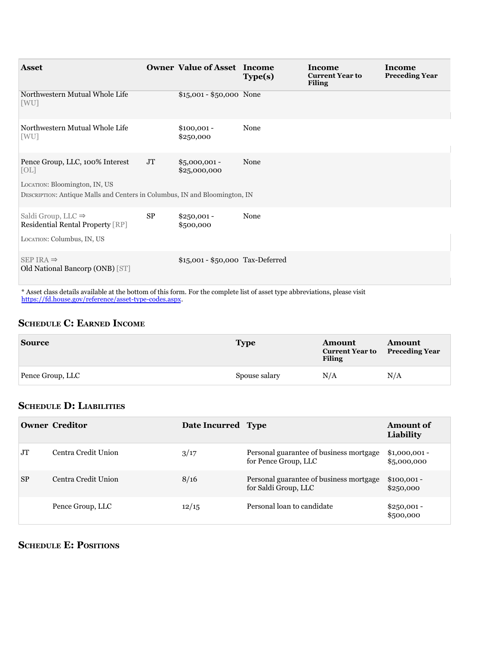| <b>Asset</b>                                                                                                                                           |           | <b>Owner Value of Asset Income</b> | Type(s) | Income<br><b>Current Year to</b><br><b>Filing</b> | <b>Income</b><br><b>Preceding Year</b> |
|--------------------------------------------------------------------------------------------------------------------------------------------------------|-----------|------------------------------------|---------|---------------------------------------------------|----------------------------------------|
| Northwestern Mutual Whole Life<br>[WU]                                                                                                                 |           | \$15,001 - \$50,000 None           |         |                                                   |                                        |
| Northwestern Mutual Whole Life<br>[WU]                                                                                                                 |           | $$100,001 -$<br>\$250,000          | None    |                                                   |                                        |
| Pence Group, LLC, 100% Interest<br>[OL]<br>LOCATION: Bloomington, IN, US<br>DESCRIPTION: Antique Malls and Centers in Columbus, IN and Bloomington, IN | JT        | $$5,000,001 -$<br>\$25,000,000     | None    |                                                   |                                        |
| Saldi Group, LLC $\Rightarrow$<br>Residential Rental Property [RP]<br>LOCATION: Columbus, IN, US                                                       | <b>SP</b> | $$250,001 -$<br>\$500,000          | None    |                                                   |                                        |
| SEP IRA $\Rightarrow$<br>Old National Bancorp (ONB) [ST]                                                                                               |           | \$15,001 - \$50,000 Tax-Deferred   |         |                                                   |                                        |

\* Asset class details available at the bottom of this form. For the complete list of asset type abbreviations, please visit [https://fd.house.gov/reference/asset-type-codes.aspx.](https://fd.house.gov/reference/asset-type-codes.aspx)

#### **ScheDule c: earneD income**

| <b>Source</b>    | <b>Type</b>   | Amount<br><b>Current Year to</b><br><b>Filing</b> | <b>Amount</b><br><b>Preceding Year</b> |
|------------------|---------------|---------------------------------------------------|----------------------------------------|
| Pence Group, LLC | Spouse salary | N/A                                               | N/A                                    |

# **ScheDule D: liabilitieS**

|           | <b>Owner Creditor</b> | Date Incurred Type |                                                                 | <b>Amount of</b><br>Liability |
|-----------|-----------------------|--------------------|-----------------------------------------------------------------|-------------------------------|
| <b>JT</b> | Centra Credit Union   | 3/17               | Personal guarantee of business mortgage<br>for Pence Group, LLC | $$1,000,001 -$<br>\$5,000,000 |
| <b>SP</b> | Centra Credit Union   | 8/16               | Personal guarantee of business mortgage<br>for Saldi Group, LLC | $$100,001 -$<br>\$250,000     |
|           | Pence Group, LLC      | 12/15              | Personal loan to candidate                                      | $$250,001 -$<br>\$500,000     |

# **ScheDule e: poSitionS**